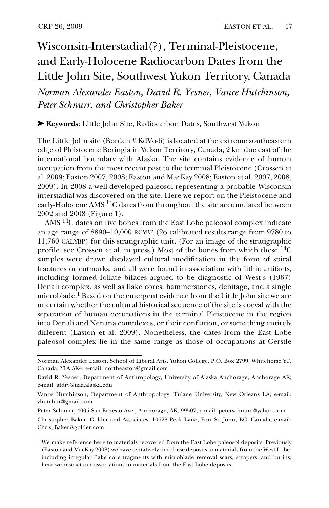## Wisconsin-Interstadial(?), Terminal-Pleistocene, and Early-Holocene Radiocarbon Dates from the Little John Site, Southwest Yukon Territory, Canada

*Norman Alexander Easton, David R. Yesner, Vance Hutchinson, Peter Schnurr, and Christopher Baker*

➤ **Keywords**: Little John Site, Radiocarbon Dates, Southwest Yukon

The Little John site (Borden # KdVo-6) is located at the extreme southeastern edge of Pleistocene Beringia in Yukon Territory, Canada, 2 km due east of the international boundary with Alaska. The site contains evidence of human occupation from the most recent past to the terminal Pleistocene (Crossen et al. 2009; Easton 2007, 2008; Easton and MacKay 2008; Easton et al. 2007, 2008, 2009). In 2008 a well-developed paleosol representing a probable Wisconsin interstadial was discovered on the site. Here we report on the Pleistocene and early-Holocene AMS<sup>14</sup>C dates from throughout the site accumulated between 2002 and 2008 (Figure 1).

AMS 14C dates on five bones from the East Lobe paleosol complex indicate an age range of 8890–10,000 RCYBP ( $2\sigma$  calibrated results range from 9780 to 11,760 CALYBP) for this stratigraphic unit. (For an image of the stratigraphic profile, see Crossen et al. in press.) Most of the bones from which these  ${}^{14}C$ samples were drawn displayed cultural modification in the form of spiral fractures or cutmarks, and all were found in association with lithic artifacts, including formed foliate bifaces argued to be diagnostic of West's (1967) Denali complex, as well as flake cores, hammerstones, debitage, and a single microblade.**1** Based on the emergent evidence from the Little John site we are uncertain whether the cultural historical sequence of the site is coeval with the separation of human occupations in the terminal Pleistocene in the region into Denali and Nenana complexes, or their conflation, or something entirely different (Easton et al. 2009). Nonetheless, the dates from the East Lobe paleosol complex lie in the same range as those of occupations at Gerstle

Norman Alexander Easton, School of Liberal Arts, Yukon College, P.O. Box 2799, Whitehorse YT, Canada, Y1A 5K4; e-mail: northeaston@gmail.com

David R. Yesner, Department of Anthropology, University of Alaska Anchorage, Anchorage AK; e-mail: afdry@uaa.alaska.edu

Vance Hutchinson, Department of Anthropology, Tulane University, New Orleans LA; e-mail: vhutchin@gmail.com

Peter Schnurr, 4005 San Ernesto Ave., Anchorage, AK, 99507; e-mail: peterschnurr@yahoo.com Christopher Baker, Golder and Associates, 10628 Peck Lane, Fort St. John, BC, Canada; e-mail: Chris\_Baker@golder.com

<sup>&</sup>lt;sup>1</sup>We make reference here to materials recovered from the East Lobe paleosol deposits. Previously (Easton and MacKay 2008) we have tentatively tied these deposits to materials from the West Lobe, including irregular flake core fragments with microblade removal scars, scrapers, and burins; here we restrict our associations to materials from the East Lobe deposits.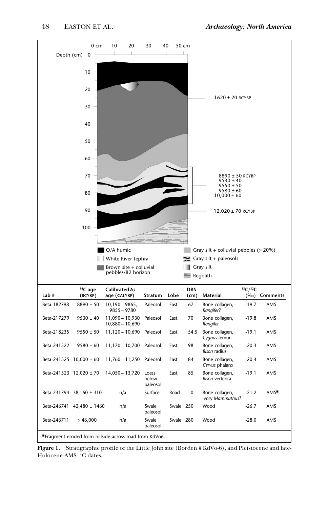

**Figure 1.** Stratigraphic profile of the Little John site (Borden # KdVo-6), and Pleistocene and late-Holocene AMS 14C dates.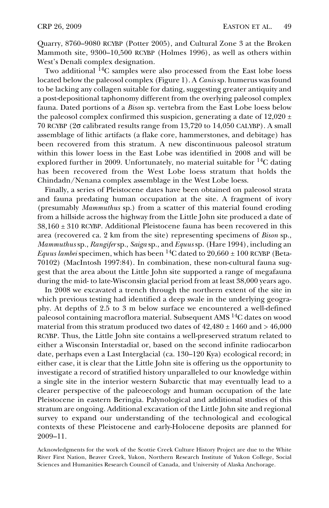Quarry, 8760–9080 RCYBP (Potter 2005), and Cultural Zone 3 at the Broken Mammoth site, 9300–10,500 RCYBP (Holmes 1996), as well as others within West's Denali complex designation.

Two additional <sup>14</sup>C samples were also processed from the East lobe loess located below the paleosol complex (Figure 1). A *Canis* sp. humerus was found to be lacking any collagen suitable for dating, suggesting greater antiquity and a post-depositional taphonomy different from the overlying paleosol complex fauna. Dated portions of a *Bison* sp. vertebra from the East Lobe loess below the paleosol complex confirmed this suspicion, generating a date of  $12,020 \pm 1$ 70 RCYBP (2σ calibrated results range from 13,720 to 14,050 CALYBP). A small assemblage of lithic artifacts (a flake core, hammerstones, and debitage) has been recovered from this stratum. A new discontinuous paleosol stratum within this lower loess in the East Lobe was identified in 2008 and will be explored further in 2009. Unfortunately, no material suitable for  $^{14}C$  dating has been recovered from the West Lobe loess stratum that holds the Chindadn/Nenana complex assemblage in the West Lobe loess.

Finally, a series of Pleistocene dates have been obtained on paleosol strata and fauna predating human occupation at the site. A fragment of ivory (presumably *Mammuthus* sp.) from a scatter of this material found eroding from a hillside across the highway from the Little John site produced a date of  $38,160 \pm 310$  RCYBP. Additional Pleistocene fauna has been recovered in this area (recovered ca. 2 km from the site) representing specimens of *Bison* sp., *Mammuthus* sp., *Rangifer* sp., *Saiga* sp., and *Equus* sp. (Hare 1994), including an *Equus lambei* specimen, which has been <sup>14</sup>C dated to  $20,660 \pm 100$  RCYBP (Beta-70102) (MacIntosh 1997:84). In combination, these non-cultural fauna suggest that the area about the Little John site supported a range of megafauna during the mid- to late-Wisconsin glacial period from at least 38,000 years ago.

In 2008 we excavated a trench through the northern extent of the site in which previous testing had identified a deep swale in the underlying geography. At depths of 2.5 to 3 m below surface we encountered a well-defined paleosol containing macroflora material. Subsequent AMS <sup>14</sup>C dates on wood material from this stratum produced two dates of  $42,480 \pm 1460$  and  $> 46,000$ RCYBP. Thus, the Little John site contains a well-preserved stratum related to either a Wisconsin Interstadial or, based on the second infinite radiocarbon date, perhaps even a Last Interglacial (ca. 130–120 Kya) ecological record; in either case, it is clear that the Little John site is offering us the opportunity to investigate a record of stratified history unparalleled to our knowledge within a single site in the interior western Subarctic that may eventually lead to a clearer perspective of the paleoecology and human occupation of the late Pleistocene in eastern Beringia. Palynological and additional studies of this stratum are ongoing. Additional excavation of the Little John site and regional survey to expand our understanding of the technological and ecological contexts of these Pleistocene and early-Holocene deposits are planned for 2009–11.

Acknowledgments for the work of the Scottie Creek Culture History Project are due to the White River First Nation, Beaver Creek, Yukon, Northern Research Institute of Yukon College, Social Sciences and Humanities Research Council of Canada, and University of Alaska Anchorage.